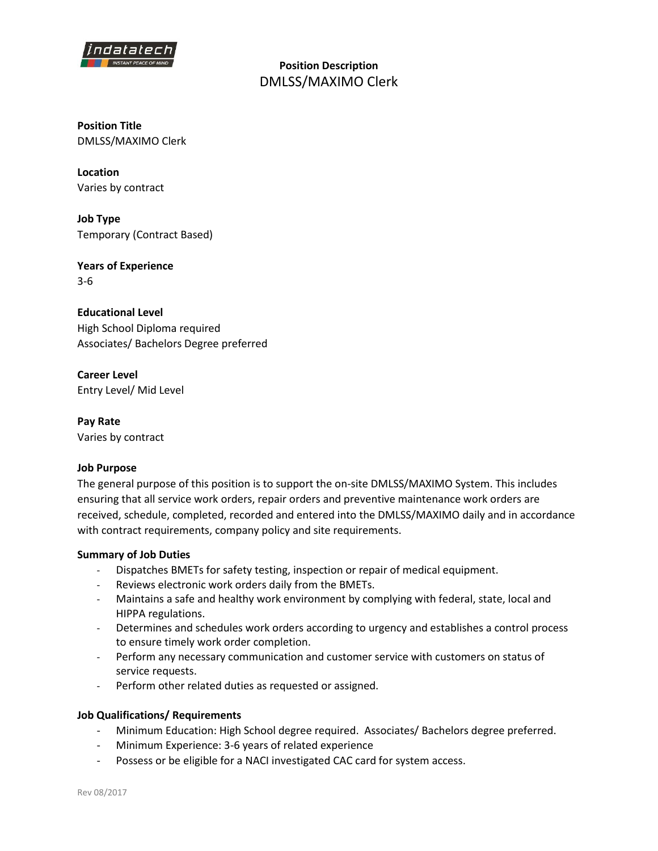

**Position Description**  DMLSS/MAXIMO Clerk

**Position Title** DMLSS/MAXIMO Clerk

**Location** Varies by contract

**Job Type** Temporary (Contract Based)

**Years of Experience** 3-6

**Educational Level** High School Diploma required Associates/ Bachelors Degree preferred

**Career Level** Entry Level/ Mid Level

**Pay Rate** Varies by contract

## **Job Purpose**

The general purpose of this position is to support the on-site DMLSS/MAXIMO System. This includes ensuring that all service work orders, repair orders and preventive maintenance work orders are received, schedule, completed, recorded and entered into the DMLSS/MAXIMO daily and in accordance with contract requirements, company policy and site requirements.

## **Summary of Job Duties**

- Dispatches BMETs for safety testing, inspection or repair of medical equipment.
- Reviews electronic work orders daily from the BMETs.
- Maintains a safe and healthy work environment by complying with federal, state, local and HIPPA regulations.
- Determines and schedules work orders according to urgency and establishes a control process to ensure timely work order completion.
- Perform any necessary communication and customer service with customers on status of service requests.
- Perform other related duties as requested or assigned.

## **Job Qualifications/ Requirements**

- Minimum Education: High School degree required. Associates/ Bachelors degree preferred.
- Minimum Experience: 3-6 years of related experience
- Possess or be eligible for a NACI investigated CAC card for system access.